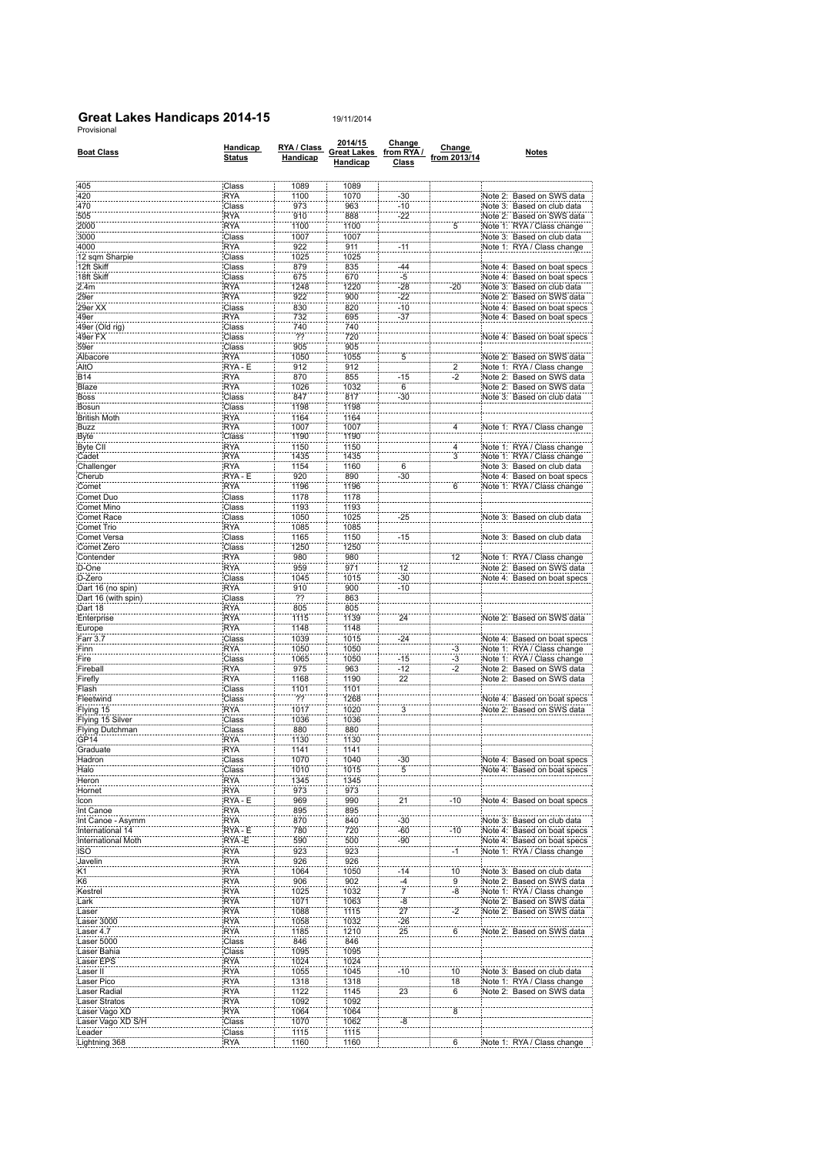## **Great Lakes Handicaps 2014-15**<br>Provisional

| <b>Boat Class</b>                   | Handicap<br><b>Status</b> | RYA / Class<br><b>Handicap</b> | 2014/15<br><b>Great Lakes</b><br>Handicap | Change<br>from RYA /<br><b>Class</b> | Change<br>from 2013/14 | Notes                                                    |
|-------------------------------------|---------------------------|--------------------------------|-------------------------------------------|--------------------------------------|------------------------|----------------------------------------------------------|
| 405                                 | Class                     | 1089                           | 1089                                      |                                      |                        |                                                          |
| 420                                 | <b>RYA</b>                | 1100                           | 1070                                      | $-30$                                |                        | Note 2: Based on SWS data                                |
| 470<br>505                          | Class<br><b>RYA</b>       | 973<br>910                     | 963<br>888                                | $-10$                                |                        | Note 3: Based on club data                               |
| 2000                                | <b>RYA</b>                | 1100                           | 1100                                      | $-22$                                | 5                      | Note 2: Based on SWS data<br>Note 1: RYA / Class change  |
| 3000                                | Class                     | 1007                           | 1007                                      |                                      |                        | Note 3: Based on club data                               |
| 4000                                | RYA                       | 922                            | 911                                       | $-11$                                |                        | Note 1: RYA / Class change                               |
| 12 sqm Sharpie                      | Class                     | 1025                           | 1025                                      |                                      |                        |                                                          |
| 12ft Skiff                          | Class                     | 879                            | 835                                       | $-44$                                |                        | Note 4: Based on boat specs                              |
| 18ft Skiff                          | Class                     | 675                            | 670                                       | -5                                   |                        | Based on boat specs<br>Note 4:                           |
| 2.4m<br>29er                        | RYA                       | 1248                           | 1220                                      | $-28$                                | $-20$                  | Note 3: Based on club data<br>Note 2: Based on SWS data  |
| 29er XX                             | <b>RYA</b><br>Class       | 922<br>830                     | 900<br>820                                | $-22$<br>$-10$                       |                        | Note 4: Based on boat specs                              |
| :49er                               | <b>RYA</b>                | 732                            | 695                                       | $-37$                                |                        | Note 4: Based on boat specs                              |
| 49er (Old rig)                      | Class                     | 740                            | 740                                       |                                      |                        |                                                          |
| 49er FX                             | Class                     | $\overline{22}$                | 720                                       |                                      |                        | Note 4: Based on boat specs                              |
| 59er                                | Class                     | 905                            | 905                                       |                                      |                        |                                                          |
| Albacore                            | :RYA                      | 1050                           | 1055                                      | 5                                    |                        | Note 2: Based on SWS data                                |
| AltO<br>B14                         | RYA - E<br>:RYA           | 912<br>870                     | 912<br>855                                | -15                                  | $\overline{2}$<br>-2   | Note 1: RYA / Class change<br>Note 2: Based on SWS data  |
| Blaze                               | <b>RYA</b>                | 1026                           | 1032                                      | 6                                    |                        | Note 2: Based on SWS data                                |
| Boss                                | Class                     | 847                            | 817                                       | -30                                  |                        | Note 3: Based on club data                               |
| Bosun                               | Class                     | 1198                           | 1198                                      |                                      |                        |                                                          |
| <b>British Moth</b>                 | <b>RYA</b>                | 1164                           | 1164                                      |                                      |                        |                                                          |
| Buzz                                | <b>RYA</b>                | 1007                           | 1007                                      |                                      | 4                      | Note 1: RYA / Class change                               |
| Byte                                | Class                     | 1190                           | 1190                                      |                                      |                        |                                                          |
| Byte CII<br>Cadet                   | RYA<br><b>RYA</b>         | 1150<br>1435                   | 1150<br>1435                              |                                      | 4<br>3                 | Note 1: RYA / Class change<br>Note 1: RYA / Class change |
| Challenger                          | <b>RYA</b>                | 1154                           | 1160                                      | 6                                    |                        | Note 3: Based on club data                               |
| Cherub                              | RYA - E                   | 920                            | 890                                       | $-30$                                |                        | Note 4: Based on boat specs                              |
| Comet                               | <b>RYA</b>                | 1196                           | 1196                                      |                                      | 6                      | Note 1: RYA / Class change                               |
| Comet Duo                           | Class                     | 1178                           | 1178                                      |                                      |                        |                                                          |
| Comet Mino                          | Class                     | 1193                           | 1193                                      |                                      |                        |                                                          |
| Comet Race                          | Class                     | 1050                           | 1025                                      | $-25$                                |                        | Note 3: Based on club data                               |
| Comet Trio                          | <b>RYA</b>                | 1085                           | 1085                                      |                                      |                        |                                                          |
| Comet Versa<br>Comet Zero           | Class                     | 1165                           | 1150                                      | -15                                  |                        | Note 3: Based on club data                               |
| Contender                           | Class<br><b>RYA</b>       | 1250<br>980                    | 1250<br>980                               |                                      | 12                     | Note 1: RYA / Class change                               |
| D-One                               | <b>RYA</b>                | 959                            | 971                                       | 12                                   |                        | Note 2: Based on SWS data                                |
| D-Zero                              | Class                     | 1045                           | 1015                                      | $-30$                                |                        | Note 4: Based on boat specs                              |
| Dart 16 (no spin)                   | <b>RYA</b>                | 910                            | 900                                       | $-10$                                |                        |                                                          |
| Dart 16 (with spin)                 | Class                     | 77                             | 863                                       |                                      |                        |                                                          |
| Dart 18                             | <b>RYA</b>                | 805                            | 805                                       |                                      |                        |                                                          |
| Enterprise                          | <b>RYA</b>                | 1115                           | 1139                                      | 24                                   |                        | Note 2: Based on SWS data                                |
| Europe<br>Farr 3.7                  | <b>RYA</b><br>Class       | 1148<br>1039                   | 1148<br>1015                              | $-24$                                |                        | Note 4: Based on boat specs                              |
| Finn                                | <b>RYA</b>                | 1050                           | 1050                                      |                                      | -3                     | Note 1: RYA / Class change                               |
| Fire                                | Class                     | 1065                           | 1050                                      | $-15$                                | $-3$                   | Note 1: RYA / Class change                               |
| Fireball                            | <b>RYA</b>                | 975                            | 963                                       | $-12$                                | -2                     | Note 2: Based on SWS data                                |
| Firefly                             | <b>RYA</b>                | 1168                           | 1190                                      | $\overline{22}$                      |                        | Note 2: Based on SWS data                                |
| Flash                               | Class                     | 1101                           | 1101                                      |                                      |                        |                                                          |
| Fleetwind                           | Class                     | ??                             | 1268                                      |                                      |                        | Note 4: Based on boat specs                              |
| Flying 15                           | <b>RYA</b>                | 1017                           | 1020                                      | $\ddot{3}$                           |                        | Note 2: Based on SWS data                                |
| Flying 15 Silver<br>Flying Dutchman | Class<br>Class            | 1036<br>880                    | 1036<br>880                               |                                      |                        |                                                          |
| GP <sub>14</sub>                    | RYA                       | 1130                           | 1130                                      |                                      |                        |                                                          |
| Graduate                            | :RYA                      | 1141                           | 1141                                      |                                      |                        |                                                          |
| Hadron                              | Class                     | 1070                           | 1040                                      | -30                                  |                        | Note 4: Based on boat specs                              |
| Halo                                | Class                     | 1010                           | 1015                                      | 5                                    |                        | Note 4: Based on boat specs                              |
| Heron                               | <b>RYA</b>                | 1345                           | 1345                                      |                                      |                        |                                                          |
| Hornet                              | <b>RYA</b>                | 973                            | 973                                       |                                      |                        |                                                          |
| Icon                                | RYA - E                   | 969                            | 990                                       | 21                                   | $-10$                  | Note 4: Based on boat specs                              |
| Int Canoe<br>Int Canoe - Asymm      | :RYA<br><b>RYA</b>        | 895<br>870                     | 895<br>840                                | $-30$                                |                        | Note 3: Based on club data                               |
| International 14                    | RYA - E                   | 780                            | 720                                       | -60                                  | $-10$                  | Note 4: Based on boat specs                              |
| International Moth                  | RYA-E                     | 590                            | 500                                       | $-90$                                |                        | Note 4: Based on boat specs                              |
| <b>ISO</b>                          | <b>RYA</b>                | 923                            | 923                                       |                                      | $-1$                   | Note 1: RYA / Class change                               |
| Javelin                             | <b>RYA</b>                | 926                            | 926                                       |                                      |                        |                                                          |
| K <sub>1</sub>                      | RYA                       | 1064                           | 1050                                      | $-14$                                | 10                     | Note 3: Based on club data                               |
| K <sub>6</sub>                      | RYA:                      | 906                            | 902                                       | $\frac{-4}{7}$                       | 9                      | Note 2: Based on SWS data                                |
| Kestrel<br>Lark                     | :RYA<br><b>RYA</b>        | 1025<br>1071                   | 1032                                      | -8                                   | -8                     | Note 1: RYA / Class change<br>Note 2: Based on SWS data  |
| Laser                               | <b>RYA</b>                | 1088                           | 1063<br>1115                              | 27                                   | $-2$                   | Note 2: Based on SWS data                                |
| Laser 3000                          | <b>RYA</b>                | 1058                           | 1032                                      | $-26$                                |                        |                                                          |
| Laser 4.7                           | <b>RYA</b>                | 1185                           | 1210                                      | 25                                   | $\ddot{6}$             | Note 2: Based on SWS data                                |
| Laser 5000                          | Class                     | 846                            | 846                                       |                                      |                        |                                                          |
| Laser Bahia                         | Class                     | 1095                           | 1095                                      |                                      |                        |                                                          |
| Laser EPS                           | RYA                       | 1024                           | 1024                                      |                                      |                        |                                                          |
| Laser II                            | <b>RYA</b>                | 1055                           | 1045                                      | $-10$                                | 10                     | Based on club data<br>Note 3:                            |
| Laser Pico                          | RYA                       | 1318                           | 1318                                      | 23                                   | 18                     | Note 1: RYA / Class change                               |
| Laser Radial<br>Laser Stratos       | <b>RYA</b><br><b>RYA</b>  | 1122<br>1092                   | 1145<br>1092                              |                                      | $\overline{6}$         | Note 2: Based on SWS data                                |
| Laser Vago XD                       | RYA                       | 1064                           | 1064                                      |                                      | $\overline{\bf 8}$     |                                                          |
| Laser Vago XD S/H                   | Class                     | 1070                           | 1062                                      | -8                                   |                        |                                                          |
| Leader                              | Class                     | 1115                           | 1115                                      |                                      |                        |                                                          |
| Lightning 368                       | <b>RYA</b>                | 1160                           | 1160                                      |                                      | 6                      | Note 1: RYA / Class change                               |